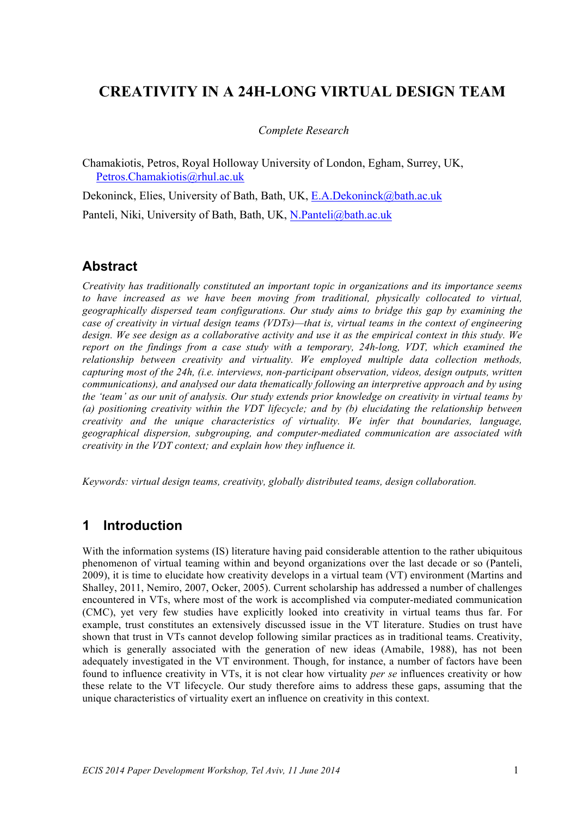# **CREATIVITY IN A 24H-LONG VIRTUAL DESIGN TEAM**

#### *Complete Research*

Chamakiotis, Petros, Royal Holloway University of London, Egham, Surrey, UK, Petros.Chamakiotis@rhul.ac.uk

Dekoninck, Elies, University of Bath, Bath, UK, E.A.Dekoninck@bath.ac.uk

Panteli, Niki, University of Bath, Bath, UK, N.Panteli@bath.ac.uk

## **Abstract**

*Creativity has traditionally constituted an important topic in organizations and its importance seems to have increased as we have been moving from traditional, physically collocated to virtual, geographically dispersed team configurations. Our study aims to bridge this gap by examining the case of creativity in virtual design teams (VDTs)—that is, virtual teams in the context of engineering design. We see design as a collaborative activity and use it as the empirical context in this study. We report on the findings from a case study with a temporary, 24h-long, VDT, which examined the relationship between creativity and virtuality. We employed multiple data collection methods, capturing most of the 24h, (i.e. interviews, non-participant observation, videos, design outputs, written communications), and analysed our data thematically following an interpretive approach and by using the 'team' as our unit of analysis. Our study extends prior knowledge on creativity in virtual teams by (a) positioning creativity within the VDT lifecycle; and by (b) elucidating the relationship between creativity and the unique characteristics of virtuality. We infer that boundaries, language, geographical dispersion, subgrouping, and computer-mediated communication are associated with creativity in the VDT context; and explain how they influence it.* 

*Keywords: virtual design teams, creativity, globally distributed teams, design collaboration.*

## **1 Introduction**

With the information systems (IS) literature having paid considerable attention to the rather ubiquitous phenomenon of virtual teaming within and beyond organizations over the last decade or so (Panteli, 2009), it is time to elucidate how creativity develops in a virtual team (VT) environment (Martins and Shalley, 2011, Nemiro, 2007, Ocker, 2005). Current scholarship has addressed a number of challenges encountered in VTs, where most of the work is accomplished via computer-mediated communication (CMC), yet very few studies have explicitly looked into creativity in virtual teams thus far. For example, trust constitutes an extensively discussed issue in the VT literature. Studies on trust have shown that trust in VTs cannot develop following similar practices as in traditional teams. Creativity, which is generally associated with the generation of new ideas (Amabile, 1988), has not been adequately investigated in the VT environment. Though, for instance, a number of factors have been found to influence creativity in VTs, it is not clear how virtuality *per se* influences creativity or how these relate to the VT lifecycle. Our study therefore aims to address these gaps, assuming that the unique characteristics of virtuality exert an influence on creativity in this context.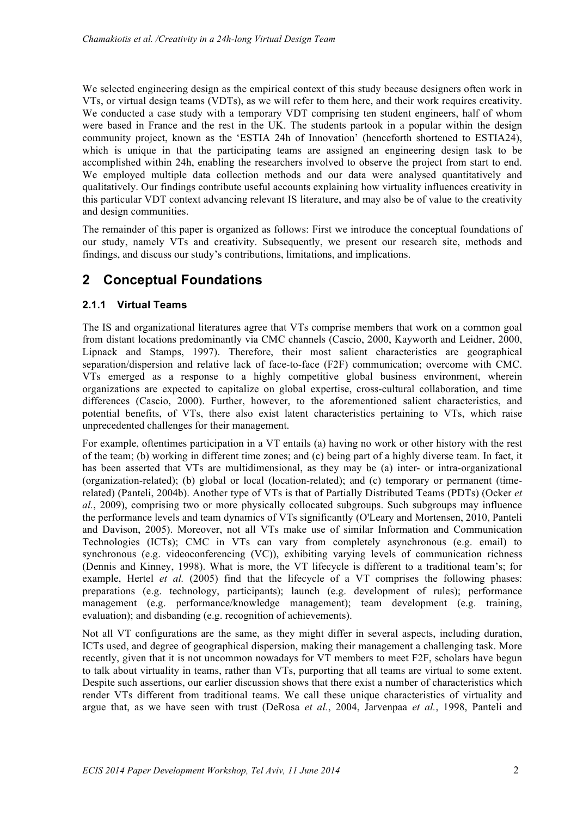We selected engineering design as the empirical context of this study because designers often work in VTs, or virtual design teams (VDTs), as we will refer to them here, and their work requires creativity. We conducted a case study with a temporary VDT comprising ten student engineers, half of whom were based in France and the rest in the UK. The students partook in a popular within the design community project, known as the 'ESTIA 24h of Innovation' (henceforth shortened to ESTIA24), which is unique in that the participating teams are assigned an engineering design task to be accomplished within 24h, enabling the researchers involved to observe the project from start to end. We employed multiple data collection methods and our data were analysed quantitatively and qualitatively. Our findings contribute useful accounts explaining how virtuality influences creativity in this particular VDT context advancing relevant IS literature, and may also be of value to the creativity and design communities.

The remainder of this paper is organized as follows: First we introduce the conceptual foundations of our study, namely VTs and creativity. Subsequently, we present our research site, methods and findings, and discuss our study's contributions, limitations, and implications.

# **2 Conceptual Foundations**

#### **2.1.1 Virtual Teams**

The IS and organizational literatures agree that VTs comprise members that work on a common goal from distant locations predominantly via CMC channels (Cascio, 2000, Kayworth and Leidner, 2000, Lipnack and Stamps, 1997). Therefore, their most salient characteristics are geographical separation/dispersion and relative lack of face-to-face (F2F) communication; overcome with CMC. VTs emerged as a response to a highly competitive global business environment, wherein organizations are expected to capitalize on global expertise, cross-cultural collaboration, and time differences (Cascio, 2000). Further, however, to the aforementioned salient characteristics, and potential benefits, of VTs, there also exist latent characteristics pertaining to VTs, which raise unprecedented challenges for their management.

For example, oftentimes participation in a VT entails (a) having no work or other history with the rest of the team; (b) working in different time zones; and (c) being part of a highly diverse team. In fact, it has been asserted that VTs are multidimensional, as they may be (a) inter- or intra-organizational (organization-related); (b) global or local (location-related); and (c) temporary or permanent (timerelated) (Panteli, 2004b). Another type of VTs is that of Partially Distributed Teams (PDTs) (Ocker *et al.*, 2009), comprising two or more physically collocated subgroups. Such subgroups may influence the performance levels and team dynamics of VTs significantly (O'Leary and Mortensen, 2010, Panteli and Davison, 2005). Moreover, not all VTs make use of similar Information and Communication Technologies (ICTs); CMC in VTs can vary from completely asynchronous (e.g. email) to synchronous (e.g. videoconferencing (VC)), exhibiting varying levels of communication richness (Dennis and Kinney, 1998). What is more, the VT lifecycle is different to a traditional team's; for example, Hertel *et al.* (2005) find that the lifecycle of a VT comprises the following phases: preparations (e.g. technology, participants); launch (e.g. development of rules); performance management (e.g. performance/knowledge management); team development (e.g. training, evaluation); and disbanding (e.g. recognition of achievements).

Not all VT configurations are the same, as they might differ in several aspects, including duration, ICTs used, and degree of geographical dispersion, making their management a challenging task. More recently, given that it is not uncommon nowadays for VT members to meet F2F, scholars have begun to talk about virtuality in teams, rather than VTs, purporting that all teams are virtual to some extent. Despite such assertions, our earlier discussion shows that there exist a number of characteristics which render VTs different from traditional teams. We call these unique characteristics of virtuality and argue that, as we have seen with trust (DeRosa *et al.*, 2004, Jarvenpaa *et al.*, 1998, Panteli and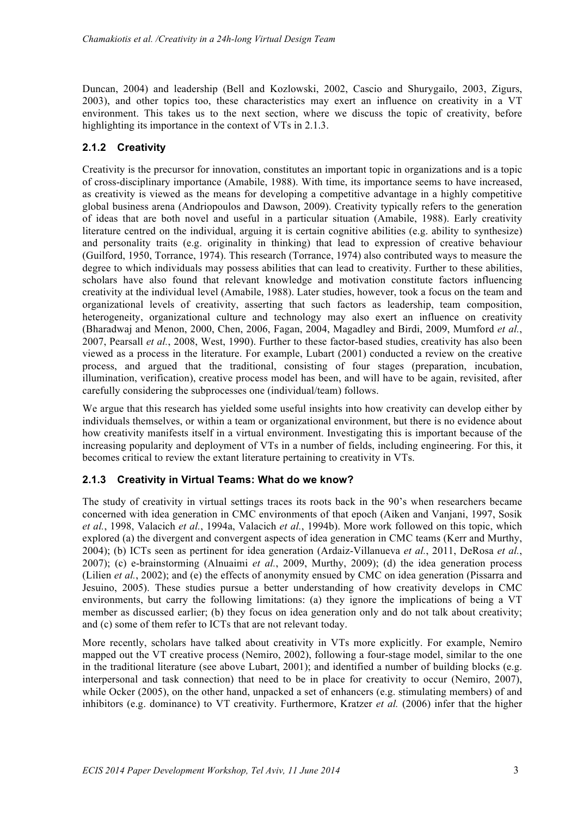Duncan, 2004) and leadership (Bell and Kozlowski, 2002, Cascio and Shurygailo, 2003, Zigurs, 2003), and other topics too, these characteristics may exert an influence on creativity in a VT environment. This takes us to the next section, where we discuss the topic of creativity, before highlighting its importance in the context of VTs in 2.1.3.

#### **2.1.2 Creativity**

Creativity is the precursor for innovation, constitutes an important topic in organizations and is a topic of cross-disciplinary importance (Amabile, 1988). With time, its importance seems to have increased, as creativity is viewed as the means for developing a competitive advantage in a highly competitive global business arena (Andriopoulos and Dawson, 2009). Creativity typically refers to the generation of ideas that are both novel and useful in a particular situation (Amabile, 1988). Early creativity literature centred on the individual, arguing it is certain cognitive abilities (e.g. ability to synthesize) and personality traits (e.g. originality in thinking) that lead to expression of creative behaviour (Guilford, 1950, Torrance, 1974). This research (Torrance, 1974) also contributed ways to measure the degree to which individuals may possess abilities that can lead to creativity. Further to these abilities, scholars have also found that relevant knowledge and motivation constitute factors influencing creativity at the individual level (Amabile, 1988). Later studies, however, took a focus on the team and organizational levels of creativity, asserting that such factors as leadership, team composition, heterogeneity, organizational culture and technology may also exert an influence on creativity (Bharadwaj and Menon, 2000, Chen, 2006, Fagan, 2004, Magadley and Birdi, 2009, Mumford *et al.*, 2007, Pearsall *et al.*, 2008, West, 1990). Further to these factor-based studies, creativity has also been viewed as a process in the literature. For example, Lubart (2001) conducted a review on the creative process, and argued that the traditional, consisting of four stages (preparation, incubation, illumination, verification), creative process model has been, and will have to be again, revisited, after carefully considering the subprocesses one (individual/team) follows.

We argue that this research has yielded some useful insights into how creativity can develop either by individuals themselves, or within a team or organizational environment, but there is no evidence about how creativity manifests itself in a virtual environment. Investigating this is important because of the increasing popularity and deployment of VTs in a number of fields, including engineering. For this, it becomes critical to review the extant literature pertaining to creativity in VTs.

#### **2.1.3 Creativity in Virtual Teams: What do we know?**

The study of creativity in virtual settings traces its roots back in the 90's when researchers became concerned with idea generation in CMC environments of that epoch (Aiken and Vanjani, 1997, Sosik *et al.*, 1998, Valacich *et al.*, 1994a, Valacich *et al.*, 1994b). More work followed on this topic, which explored (a) the divergent and convergent aspects of idea generation in CMC teams (Kerr and Murthy, 2004); (b) ICTs seen as pertinent for idea generation (Ardaiz-Villanueva *et al.*, 2011, DeRosa *et al.*, 2007); (c) e-brainstorming (Alnuaimi *et al.*, 2009, Murthy, 2009); (d) the idea generation process (Lilien *et al.*, 2002); and (e) the effects of anonymity ensued by CMC on idea generation (Pissarra and Jesuino, 2005). These studies pursue a better understanding of how creativity develops in CMC environments, but carry the following limitations: (a) they ignore the implications of being a VT member as discussed earlier; (b) they focus on idea generation only and do not talk about creativity; and (c) some of them refer to ICTs that are not relevant today.

More recently, scholars have talked about creativity in VTs more explicitly. For example, Nemiro mapped out the VT creative process (Nemiro, 2002), following a four-stage model, similar to the one in the traditional literature (see above Lubart, 2001); and identified a number of building blocks (e.g. interpersonal and task connection) that need to be in place for creativity to occur (Nemiro, 2007), while Ocker (2005), on the other hand, unpacked a set of enhancers (e.g. stimulating members) of and inhibitors (e.g. dominance) to VT creativity. Furthermore, Kratzer *et al.* (2006) infer that the higher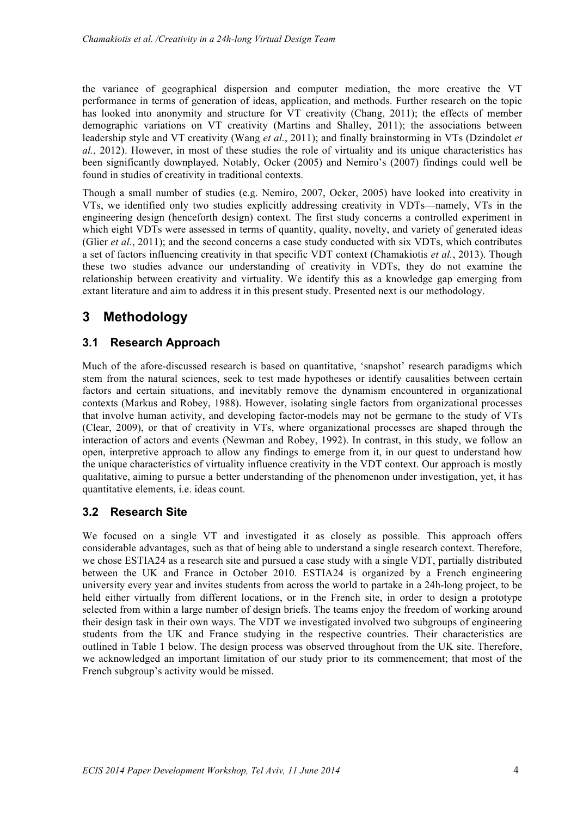the variance of geographical dispersion and computer mediation, the more creative the VT performance in terms of generation of ideas, application, and methods. Further research on the topic has looked into anonymity and structure for VT creativity (Chang, 2011); the effects of member demographic variations on VT creativity (Martins and Shalley, 2011); the associations between leadership style and VT creativity (Wang *et al.*, 2011); and finally brainstorming in VTs (Dzindolet *et al.*, 2012). However, in most of these studies the role of virtuality and its unique characteristics has been significantly downplayed. Notably, Ocker (2005) and Nemiro's (2007) findings could well be found in studies of creativity in traditional contexts.

Though a small number of studies (e.g. Nemiro, 2007, Ocker, 2005) have looked into creativity in VTs, we identified only two studies explicitly addressing creativity in VDTs—namely, VTs in the engineering design (henceforth design) context. The first study concerns a controlled experiment in which eight VDTs were assessed in terms of quantity, quality, novelty, and variety of generated ideas (Glier *et al.*, 2011); and the second concerns a case study conducted with six VDTs, which contributes a set of factors influencing creativity in that specific VDT context (Chamakiotis *et al.*, 2013). Though these two studies advance our understanding of creativity in VDTs, they do not examine the relationship between creativity and virtuality. We identify this as a knowledge gap emerging from extant literature and aim to address it in this present study. Presented next is our methodology.

# **3 Methodology**

## **3.1 Research Approach**

Much of the afore-discussed research is based on quantitative, 'snapshot' research paradigms which stem from the natural sciences, seek to test made hypotheses or identify causalities between certain factors and certain situations, and inevitably remove the dynamism encountered in organizational contexts (Markus and Robey, 1988). However, isolating single factors from organizational processes that involve human activity, and developing factor-models may not be germane to the study of VTs (Clear, 2009), or that of creativity in VTs, where organizational processes are shaped through the interaction of actors and events (Newman and Robey, 1992). In contrast, in this study, we follow an open, interpretive approach to allow any findings to emerge from it, in our quest to understand how the unique characteristics of virtuality influence creativity in the VDT context. Our approach is mostly qualitative, aiming to pursue a better understanding of the phenomenon under investigation, yet, it has quantitative elements, i.e. ideas count.

## **3.2 Research Site**

We focused on a single VT and investigated it as closely as possible. This approach offers considerable advantages, such as that of being able to understand a single research context. Therefore, we chose ESTIA24 as a research site and pursued a case study with a single VDT, partially distributed between the UK and France in October 2010. ESTIA24 is organized by a French engineering university every year and invites students from across the world to partake in a 24h-long project, to be held either virtually from different locations, or in the French site, in order to design a prototype selected from within a large number of design briefs. The teams enjoy the freedom of working around their design task in their own ways. The VDT we investigated involved two subgroups of engineering students from the UK and France studying in the respective countries. Their characteristics are outlined in Table 1 below. The design process was observed throughout from the UK site. Therefore, we acknowledged an important limitation of our study prior to its commencement; that most of the French subgroup's activity would be missed.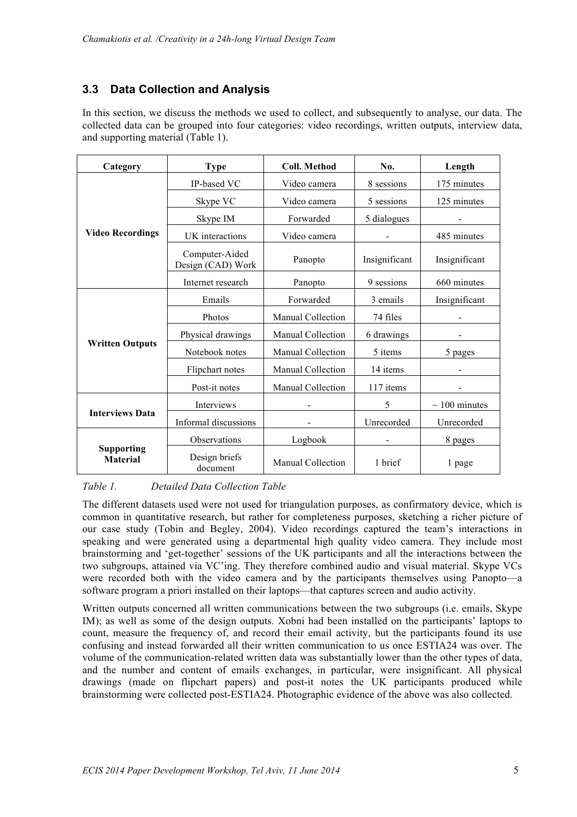## **3.3 Data Collection and Analysis**

In this section, we discuss the methods we used to collect, and subsequently to analyse, our data. The collected data can be grouped into four categories: video recordings, written outputs, interview data, and supporting material (Table 1).

| Category                             | <b>Type</b>                         | <b>Coll. Method</b>      | No.           | Length             |
|--------------------------------------|-------------------------------------|--------------------------|---------------|--------------------|
|                                      | IP-based VC                         | Video camera             | 8 sessions    | 175 minutes        |
|                                      | Skype VC                            | Video camera             | 5 sessions    | 125 minutes        |
|                                      | Skype IM                            | Forwarded                | 5 dialogues   |                    |
| <b>Video Recordings</b>              | UK interactions                     | Video camera             |               | 485 minutes        |
|                                      | Computer-Aided<br>Design (CAD) Work | Panopto                  | Insignificant | Insignificant      |
|                                      | Internet research                   | Panopto                  | 9 sessions    | 660 minutes        |
|                                      | Emails                              | Forwarded                | 3 emails      | Insignificant      |
|                                      | Photos                              | <b>Manual Collection</b> | 74 files      |                    |
|                                      | Physical drawings                   | Manual Collection        | 6 drawings    |                    |
| <b>Written Outputs</b>               | Notebook notes                      | Manual Collection        | 5 items       | 5 pages            |
|                                      | Flipchart notes                     | Manual Collection        | 14 items      |                    |
|                                      | Post-it notes                       | <b>Manual Collection</b> | 117 items     |                    |
|                                      | Interviews                          |                          | 5             | $\sim$ 100 minutes |
| <b>Interviews Data</b>               | Informal discussions                |                          | Unrecorded    | Unrecorded         |
|                                      | Observations                        | Logbook                  |               | 8 pages            |
| <b>Supporting</b><br><b>Material</b> | Design briefs<br>document           | Manual Collection        | 1 brief       | 1 page             |

*Table 1. Detailed Data Collection Table*

The different datasets used were not used for triangulation purposes, as confirmatory device, which is common in quantitative research, but rather for completeness purposes, sketching a richer picture of our case study (Tobin and Begley, 2004). Video recordings captured the team's interactions in speaking and were generated using a departmental high quality video camera. They include most brainstorming and 'get-together' sessions of the UK participants and all the interactions between the two subgroups, attained via VC'ing. They therefore combined audio and visual material. Skype VCs were recorded both with the video camera and by the participants themselves using Panopto—a software program a priori installed on their laptops—that captures screen and audio activity.

Written outputs concerned all written communications between the two subgroups (i.e. emails, Skype IM); as well as some of the design outputs. Xobni had been installed on the participants' laptops to count, measure the frequency of, and record their email activity, but the participants found its use confusing and instead forwarded all their written communication to us once ESTIA24 was over. The volume of the communication-related written data was substantially lower than the other types of data, and the number and content of emails exchanges, in particular, were insignificant. All physical drawings (made on flipchart papers) and post-it notes the UK participants produced while brainstorming were collected post-ESTIA24. Photographic evidence of the above was also collected.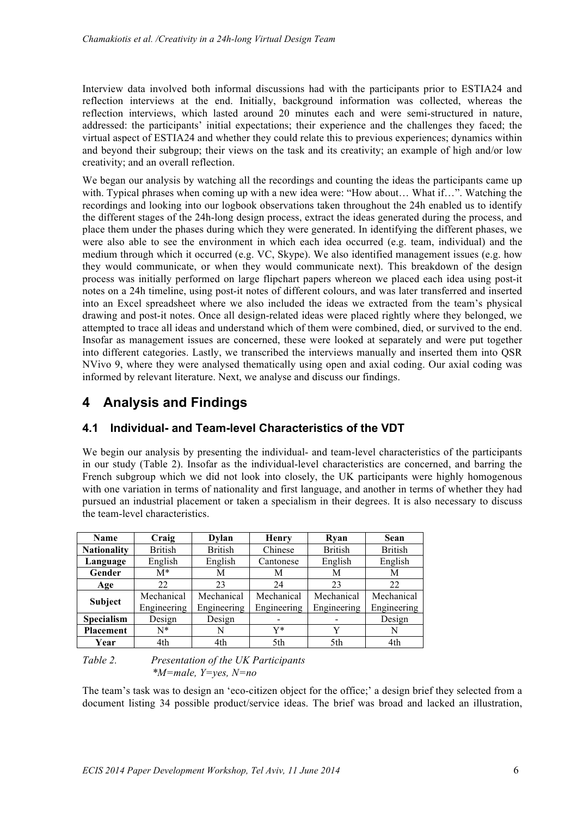Interview data involved both informal discussions had with the participants prior to ESTIA24 and reflection interviews at the end. Initially, background information was collected, whereas the reflection interviews, which lasted around 20 minutes each and were semi-structured in nature, addressed: the participants' initial expectations; their experience and the challenges they faced; the virtual aspect of ESTIA24 and whether they could relate this to previous experiences; dynamics within and beyond their subgroup; their views on the task and its creativity; an example of high and/or low creativity; and an overall reflection.

We began our analysis by watching all the recordings and counting the ideas the participants came up with. Typical phrases when coming up with a new idea were: "How about… What if…". Watching the recordings and looking into our logbook observations taken throughout the 24h enabled us to identify the different stages of the 24h-long design process, extract the ideas generated during the process, and place them under the phases during which they were generated. In identifying the different phases, we were also able to see the environment in which each idea occurred (e.g. team, individual) and the medium through which it occurred (e.g. VC, Skype). We also identified management issues (e.g. how they would communicate, or when they would communicate next). This breakdown of the design process was initially performed on large flipchart papers whereon we placed each idea using post-it notes on a 24h timeline, using post-it notes of different colours, and was later transferred and inserted into an Excel spreadsheet where we also included the ideas we extracted from the team's physical drawing and post-it notes. Once all design-related ideas were placed rightly where they belonged, we attempted to trace all ideas and understand which of them were combined, died, or survived to the end. Insofar as management issues are concerned, these were looked at separately and were put together into different categories. Lastly, we transcribed the interviews manually and inserted them into QSR NVivo 9, where they were analysed thematically using open and axial coding. Our axial coding was informed by relevant literature. Next, we analyse and discuss our findings.

# **4 Analysis and Findings**

## **4.1 Individual- and Team-level Characteristics of the VDT**

We begin our analysis by presenting the individual- and team-level characteristics of the participants in our study (Table 2). Insofar as the individual-level characteristics are concerned, and barring the French subgroup which we did not look into closely, the UK participants were highly homogenous with one variation in terms of nationality and first language, and another in terms of whether they had pursued an industrial placement or taken a specialism in their degrees. It is also necessary to discuss the team-level characteristics.

| Name               | Craig          | <b>Dylan</b>   | <b>Henry</b> | Rvan           | <b>Sean</b>    |
|--------------------|----------------|----------------|--------------|----------------|----------------|
| <b>Nationality</b> | <b>British</b> | <b>British</b> | Chinese      | <b>British</b> | <b>British</b> |
| Language           | English        | English        | Cantonese    | English        | English        |
| Gender             | $M^*$          | M              | М            | М              | М              |
| Age                | 22             | 23             | 24           | 23             | 22             |
| <b>Subject</b>     | Mechanical     | Mechanical     | Mechanical   | Mechanical     | Mechanical     |
|                    | Engineering    | Engineering    | Engineering  | Engineering    | Engineering    |
| <b>Specialism</b>  | Design         | Design         |              |                | Design         |
| <b>Placement</b>   | N*             | N              | Y*           |                | N              |
| Year               | 4th            | 4th            | 5th          | 5th            | 4th            |

#### *Table 2. Presentation of the UK Participants \*M=male, Y=yes, N=no*

The team's task was to design an 'eco-citizen object for the office;' a design brief they selected from a document listing 34 possible product/service ideas. The brief was broad and lacked an illustration,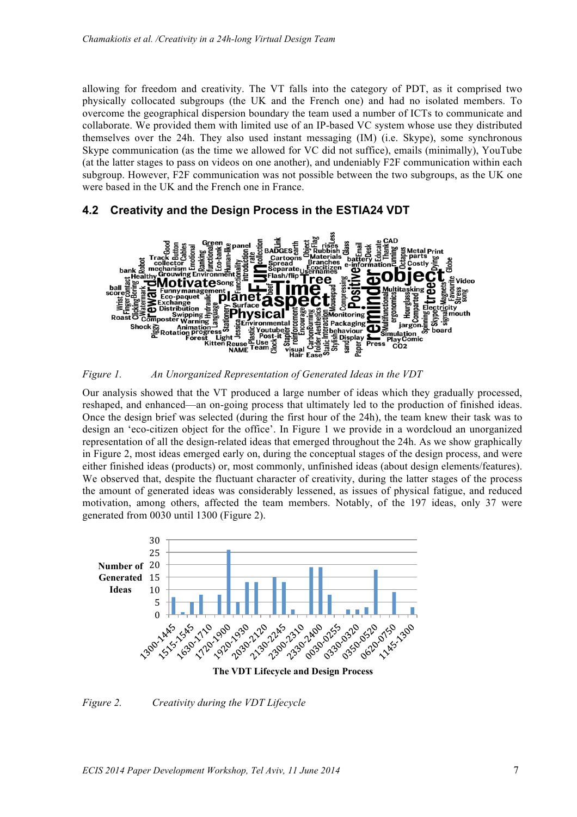allowing for freedom and creativity. The VT falls into the category of PDT, as it comprised two physically collocated subgroups (the UK and the French one) and had no isolated members. To overcome the geographical dispersion boundary the team used a number of ICTs to communicate and collaborate. We provided them with limited use of an IP-based VC system whose use they distributed themselves over the 24h. They also used instant messaging (IM) (i.e. Skype), some synchronous Skype communication (as the time we allowed for VC did not suffice), emails (minimally), YouTube (at the latter stages to pass on videos on one another), and undeniably F2F communication within each subgroup. However, F2F communication was not possible between the two subgroups, as the UK one were based in the UK and the French one in France.

### **4.2 Creativity and the Design Process in the ESTIA24 VDT**



*Figure 1. An Unorganized Representation of Generated Ideas in the VDT*

Our analysis showed that the VT produced a large number of ideas which they gradually processed, reshaped, and enhanced—an on-going process that ultimately led to the production of finished ideas. Once the design brief was selected (during the first hour of the 24h), the team knew their task was to design an 'eco-citizen object for the office'. In Figure 1 we provide in a wordcloud an unorganized representation of all the design-related ideas that emerged throughout the 24h. As we show graphically in Figure 2, most ideas emerged early on, during the conceptual stages of the design process, and were either finished ideas (products) or, most commonly, unfinished ideas (about design elements/features). We observed that, despite the fluctuant character of creativity, during the latter stages of the process the amount of generated ideas was considerably lessened, as issues of physical fatigue, and reduced motivation, among others, affected the team members. Notably, of the 197 ideas, only 37 were generated from 0030 until 1300 (Figure 2).



**The VDT Lifecycle and Design Process** 

#### *Figure 2. Creativity during the VDT Lifecycle*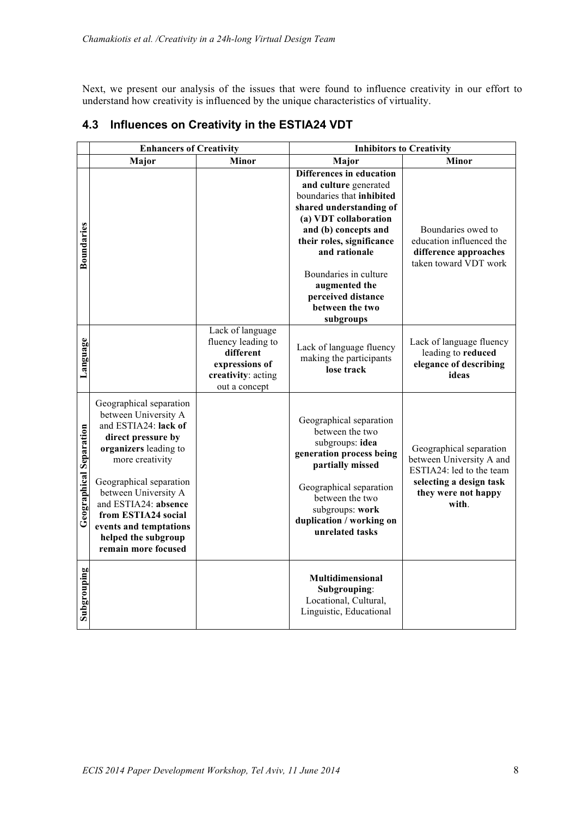Next, we present our analysis of the issues that were found to influence creativity in our effort to understand how creativity is influenced by the unique characteristics of virtuality.

|                         | <b>Enhancers of Creativity</b>                                                                                                                                                                                                                                                                                      |                                                                                                              | <b>Inhibitors to Creativity</b>                                                                                                                                                                                                                                                                          |                                                                                                                                            |  |
|-------------------------|---------------------------------------------------------------------------------------------------------------------------------------------------------------------------------------------------------------------------------------------------------------------------------------------------------------------|--------------------------------------------------------------------------------------------------------------|----------------------------------------------------------------------------------------------------------------------------------------------------------------------------------------------------------------------------------------------------------------------------------------------------------|--------------------------------------------------------------------------------------------------------------------------------------------|--|
|                         | Major                                                                                                                                                                                                                                                                                                               | <b>Minor</b>                                                                                                 | Major                                                                                                                                                                                                                                                                                                    | <b>Minor</b>                                                                                                                               |  |
| <b>Boundaries</b>       |                                                                                                                                                                                                                                                                                                                     |                                                                                                              | Differences in education<br>and culture generated<br>boundaries that inhibited<br>shared understanding of<br>(a) VDT collaboration<br>and (b) concepts and<br>their roles, significance<br>and rationale<br>Boundaries in culture<br>augmented the<br>perceived distance<br>between the two<br>subgroups | Boundaries owed to<br>education influenced the<br>difference approaches<br>taken toward VDT work                                           |  |
| Language                |                                                                                                                                                                                                                                                                                                                     | Lack of language<br>fluency leading to<br>different<br>expressions of<br>creativity: acting<br>out a concept | Lack of language fluency<br>making the participants<br>lose track                                                                                                                                                                                                                                        | Lack of language fluency<br>leading to reduced<br>elegance of describing<br>ideas                                                          |  |
| Geographical Separation | Geographical separation<br>between University A<br>and ESTIA24: lack of<br>direct pressure by<br>organizers leading to<br>more creativity<br>Geographical separation<br>between University A<br>and ESTIA24: absence<br>from ESTIA24 social<br>events and temptations<br>helped the subgroup<br>remain more focused |                                                                                                              | Geographical separation<br>between the two<br>subgroups: idea<br>generation process being<br>partially missed<br>Geographical separation<br>between the two<br>subgroups: work<br>duplication / working on<br>unrelated tasks                                                                            | Geographical separation<br>between University A and<br>ESTIA24: led to the team<br>selecting a design task<br>they were not happy<br>with. |  |
| Subgrouping             |                                                                                                                                                                                                                                                                                                                     |                                                                                                              | Multidimensional<br>Subgrouping:<br>Locational, Cultural,<br>Linguistic, Educational                                                                                                                                                                                                                     |                                                                                                                                            |  |

## **4.3 Influences on Creativity in the ESTIA24 VDT**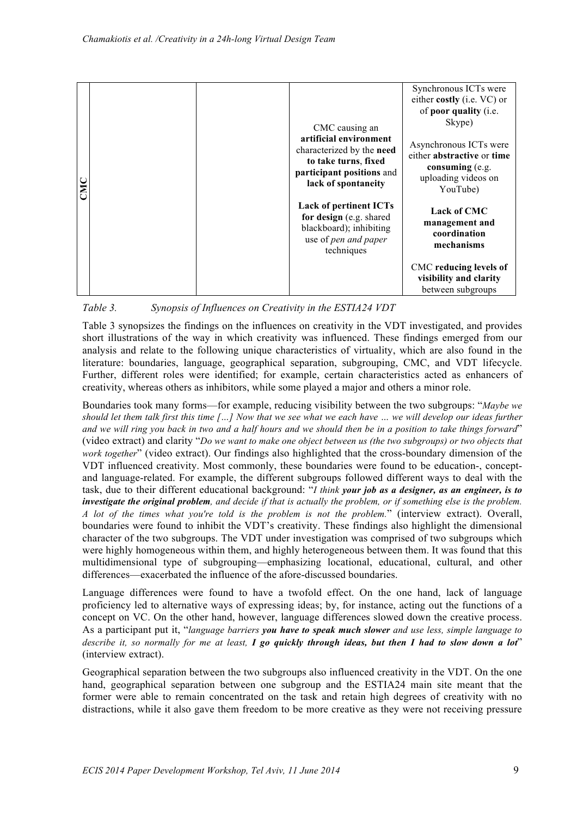| CMC |  | CMC causing an<br>artificial environment<br>characterized by the need<br>to take turns, fixed<br>participant positions and<br>lack of spontaneity | Synchronous ICTs were<br>either costly (i.e. VC) or<br>of poor quality (i.e.<br>Skype)                     |                                                                       |
|-----|--|---------------------------------------------------------------------------------------------------------------------------------------------------|------------------------------------------------------------------------------------------------------------|-----------------------------------------------------------------------|
|     |  |                                                                                                                                                   | Asynchronous ICTs were<br>either abstractive or time<br>consuming (e.g.<br>uploading videos on<br>YouTube) |                                                                       |
|     |  | <b>Lack of pertinent ICTs</b><br>for design (e.g. shared<br>blackboard); inhibiting<br>use of pen and paper<br>techniques                         | <b>Lack of CMC</b><br>management and<br>coordination<br>mechanisms                                         |                                                                       |
|     |  |                                                                                                                                                   |                                                                                                            | CMC reducing levels of<br>visibility and clarity<br>between subgroups |

*Table 3. Synopsis of Influences on Creativity in the ESTIA24 VDT*

Table 3 synopsizes the findings on the influences on creativity in the VDT investigated, and provides short illustrations of the way in which creativity was influenced. These findings emerged from our analysis and relate to the following unique characteristics of virtuality, which are also found in the literature: boundaries, language, geographical separation, subgrouping, CMC, and VDT lifecycle. Further, different roles were identified; for example, certain characteristics acted as enhancers of creativity, whereas others as inhibitors, while some played a major and others a minor role.

**EXECUTE ASSASS AND ASSASS AND ASSASS AND ASSASS AND ASSASS AND A CONSERVATION THE TRANSFER CONSERVATION THE CHARGE CONSERVATION THE CHARGE CONSERVATION CONSERVATION THE CONSERVATION CONSERVATION THE CONSERVATION CONSERVA** Boundaries took many forms—for example, reducing visibility between the two subgroups: "*Maybe we should let them talk first this time […] Now that we see what we each have … we will develop our ideas further and we will ring you back in two and a half hours and we should then be in a position to take things forward*" (video extract) and clarity "*Do we want to make one object between us (the two subgroups) or two objects that work together*" (video extract). Our findings also highlighted that the cross-boundary dimension of the VDT influenced creativity. Most commonly, these boundaries were found to be education-, conceptand language-related. For example, the different subgroups followed different ways to deal with the task, due to their different educational background: "*I think your job as a designer, as an engineer, is to investigate the original problem, and decide if that is actually the problem, or if something else is the problem. A lot of the times what you're told is the problem is not the problem.*" (interview extract). Overall, boundaries were found to inhibit the VDT's creativity. These findings also highlight the dimensional character of the two subgroups. The VDT under investigation was comprised of two subgroups which were highly homogeneous within them, and highly heterogeneous between them. It was found that this multidimensional type of subgrouping—emphasizing locational, educational, cultural, and other differences—exacerbated the influence of the afore-discussed boundaries.

Language differences were found to have a twofold effect. On the one hand, lack of language proficiency led to alternative ways of expressing ideas; by, for instance, acting out the functions of a concept on VC. On the other hand, however, language differences slowed down the creative process. As a participant put it, "*language barriers you have to speak much slower and use less, simple language to describe it, so normally for me at least, I go quickly through ideas, but then I had to slow down a lot*" (interview extract).

Geographical separation between the two subgroups also influenced creativity in the VDT. On the one hand, geographical separation between one subgroup and the ESTIA24 main site meant that the former were able to remain concentrated on the task and retain high degrees of creativity with no distractions, while it also gave them freedom to be more creative as they were not receiving pressure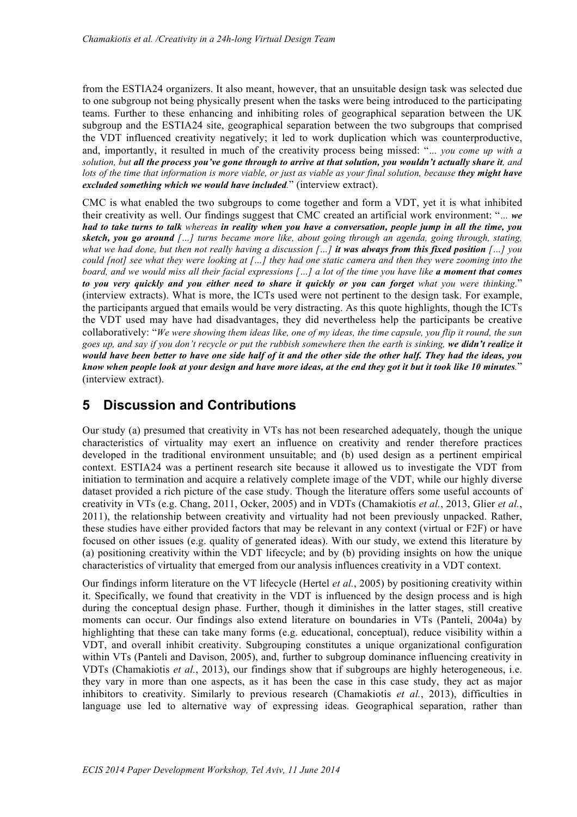from the ESTIA24 organizers. It also meant, however, that an unsuitable design task was selected due to one subgroup not being physically present when the tasks were being introduced to the participating teams. Further to these enhancing and inhibiting roles of geographical separation between the UK subgroup and the ESTIA24 site, geographical separation between the two subgroups that comprised the VDT influenced creativity negatively; it led to work duplication which was counterproductive, and, importantly, it resulted in much of the creativity process being missed: "*… you come up with a solution, but all the process you've gone through to arrive at that solution, you wouldn't actually share it, and lots of the time that information is more viable, or just as viable as your final solution, because they might have excluded something which we would have included.*" (interview extract).

CMC is what enabled the two subgroups to come together and form a VDT, yet it is what inhibited their creativity as well. Our findings suggest that CMC created an artificial work environment: "*… we had to take turns to talk whereas in reality when you have a conversation, people jump in all the time, you sketch, you go around […] turns became more like, about going through an agenda, going through, stating, what we had done, but then not really having a discussion […] it was always from this fixed position […] you could [not] see what they were looking at […] they had one static camera and then they were zooming into the board, and we would miss all their facial expressions […] a lot of the time you have like a moment that comes to you very quickly and you either need to share it quickly or you can forget what you were thinking.*" (interview extracts). What is more, the ICTs used were not pertinent to the design task. For example, the participants argued that emails would be very distracting. As this quote highlights, though the ICTs the VDT used may have had disadvantages, they did nevertheless help the participants be creative collaboratively: "*We were showing them ideas like, one of my ideas, the time capsule, you flip it round, the sun goes up, and say if you don't recycle or put the rubbish somewhere then the earth is sinking, we didn't realize it would have been better to have one side half of it and the other side the other half. They had the ideas, you know when people look at your design and have more ideas, at the end they got it but it took like 10 minutes.*" (interview extract).

## **5 Discussion and Contributions**

Our study (a) presumed that creativity in VTs has not been researched adequately, though the unique characteristics of virtuality may exert an influence on creativity and render therefore practices developed in the traditional environment unsuitable; and (b) used design as a pertinent empirical context. ESTIA24 was a pertinent research site because it allowed us to investigate the VDT from initiation to termination and acquire a relatively complete image of the VDT, while our highly diverse dataset provided a rich picture of the case study. Though the literature offers some useful accounts of creativity in VTs (e.g. Chang, 2011, Ocker, 2005) and in VDTs (Chamakiotis *et al.*, 2013, Glier *et al.*, 2011), the relationship between creativity and virtuality had not been previously unpacked. Rather, these studies have either provided factors that may be relevant in any context (virtual or F2F) or have focused on other issues (e.g. quality of generated ideas). With our study, we extend this literature by (a) positioning creativity within the VDT lifecycle; and by (b) providing insights on how the unique characteristics of virtuality that emerged from our analysis influences creativity in a VDT context.

Our findings inform literature on the VT lifecycle (Hertel *et al.*, 2005) by positioning creativity within it. Specifically, we found that creativity in the VDT is influenced by the design process and is high during the conceptual design phase. Further, though it diminishes in the latter stages, still creative moments can occur. Our findings also extend literature on boundaries in VTs (Panteli, 2004a) by highlighting that these can take many forms (e.g. educational, conceptual), reduce visibility within a VDT, and overall inhibit creativity. Subgrouping constitutes a unique organizational configuration within VTs (Panteli and Davison, 2005), and, further to subgroup dominance influencing creativity in VDTs (Chamakiotis *et al.*, 2013), our findings show that if subgroups are highly heterogeneous, i.e. they vary in more than one aspects, as it has been the case in this case study, they act as major inhibitors to creativity. Similarly to previous research (Chamakiotis *et al.*, 2013), difficulties in language use led to alternative way of expressing ideas. Geographical separation, rather than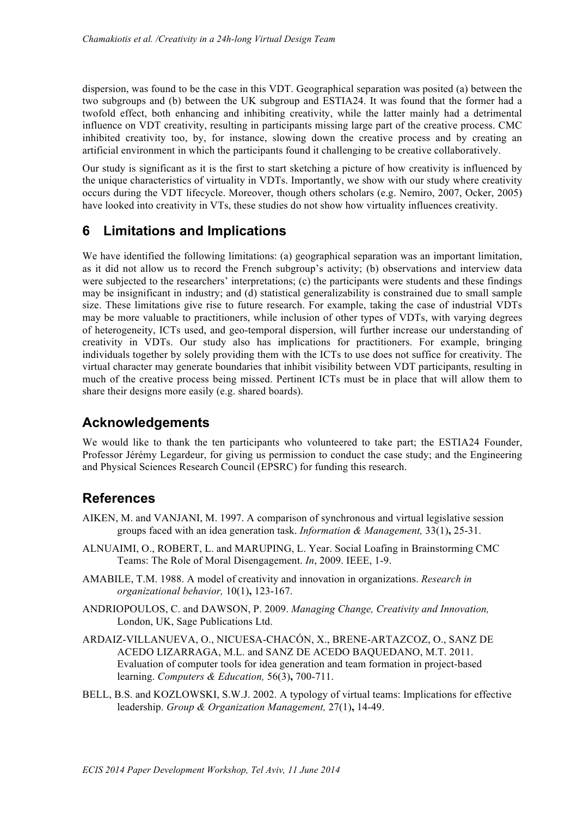dispersion, was found to be the case in this VDT. Geographical separation was posited (a) between the two subgroups and (b) between the UK subgroup and ESTIA24. It was found that the former had a twofold effect, both enhancing and inhibiting creativity, while the latter mainly had a detrimental influence on VDT creativity, resulting in participants missing large part of the creative process. CMC inhibited creativity too, by, for instance, slowing down the creative process and by creating an artificial environment in which the participants found it challenging to be creative collaboratively.

Our study is significant as it is the first to start sketching a picture of how creativity is influenced by the unique characteristics of virtuality in VDTs. Importantly, we show with our study where creativity occurs during the VDT lifecycle. Moreover, though others scholars (e.g. Nemiro, 2007, Ocker, 2005) have looked into creativity in VTs, these studies do not show how virtuality influences creativity.

# **6 Limitations and Implications**

We have identified the following limitations: (a) geographical separation was an important limitation, as it did not allow us to record the French subgroup's activity; (b) observations and interview data were subjected to the researchers' interpretations; (c) the participants were students and these findings may be insignificant in industry; and (d) statistical generalizability is constrained due to small sample size. These limitations give rise to future research. For example, taking the case of industrial VDTs may be more valuable to practitioners, while inclusion of other types of VDTs, with varying degrees of heterogeneity, ICTs used, and geo-temporal dispersion, will further increase our understanding of creativity in VDTs. Our study also has implications for practitioners. For example, bringing individuals together by solely providing them with the ICTs to use does not suffice for creativity. The virtual character may generate boundaries that inhibit visibility between VDT participants, resulting in much of the creative process being missed. Pertinent ICTs must be in place that will allow them to share their designs more easily (e.g. shared boards).

## **Acknowledgements**

We would like to thank the ten participants who volunteered to take part; the ESTIA24 Founder, Professor Jérémy Legardeur, for giving us permission to conduct the case study; and the Engineering and Physical Sciences Research Council (EPSRC) for funding this research.

## **References**

- AIKEN, M. and VANJANI, M. 1997. A comparison of synchronous and virtual legislative session groups faced with an idea generation task. *Information & Management,* 33(1)**,** 25-31.
- ALNUAIMI, O., ROBERT, L. and MARUPING, L. Year. Social Loafing in Brainstorming CMC Teams: The Role of Moral Disengagement. *In*, 2009. IEEE, 1-9.
- AMABILE, T.M. 1988. A model of creativity and innovation in organizations. *Research in organizational behavior,* 10(1)**,** 123-167.
- ANDRIOPOULOS, C. and DAWSON, P. 2009. *Managing Change, Creativity and Innovation,*  London, UK, Sage Publications Ltd.
- ARDAIZ-VILLANUEVA, O., NICUESA-CHACÓN, X., BRENE-ARTAZCOZ, O., SANZ DE ACEDO LIZARRAGA, M.L. and SANZ DE ACEDO BAQUEDANO, M.T. 2011. Evaluation of computer tools for idea generation and team formation in project-based learning. *Computers & Education,* 56(3)**,** 700-711.
- BELL, B.S. and KOZLOWSKI, S.W.J. 2002. A typology of virtual teams: Implications for effective leadership. *Group & Organization Management,* 27(1)**,** 14-49.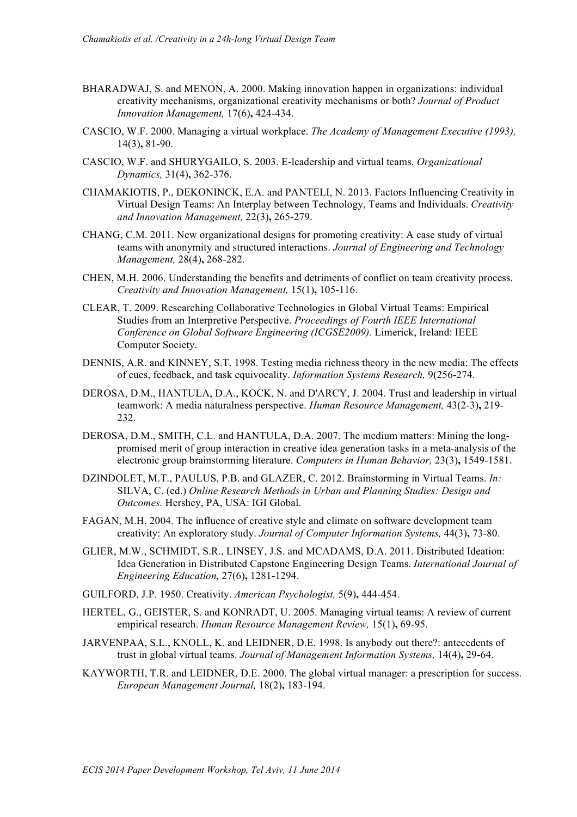- BHARADWAJ, S. and MENON, A. 2000. Making innovation happen in organizations: individual creativity mechanisms, organizational creativity mechanisms or both? *Journal of Product Innovation Management,* 17(6)**,** 424-434.
- CASCIO, W.F. 2000. Managing a virtual workplace. *The Academy of Management Executive (1993),* 14(3)**,** 81-90.
- CASCIO, W.F. and SHURYGAILO, S. 2003. E-leadership and virtual teams. *Organizational Dynamics,* 31(4)**,** 362-376.
- CHAMAKIOTIS, P., DEKONINCK, E.A. and PANTELI, N. 2013. Factors Influencing Creativity in Virtual Design Teams: An Interplay between Technology, Teams and Individuals. *Creativity and Innovation Management,* 22(3)**,** 265-279.
- CHANG, C.M. 2011. New organizational designs for promoting creativity: A case study of virtual teams with anonymity and structured interactions. *Journal of Engineering and Technology Management,* 28(4)**,** 268-282.
- CHEN, M.H. 2006. Understanding the benefits and detriments of conflict on team creativity process. *Creativity and Innovation Management,* 15(1)**,** 105-116.
- CLEAR, T. 2009. Researching Collaborative Technologies in Global Virtual Teams: Empirical Studies from an Interpretive Perspective. *Proceedings of Fourth IEEE International Conference on Global Software Engineering (ICGSE2009).* Limerick, Ireland: IEEE Computer Society.
- DENNIS, A.R. and KINNEY, S.T. 1998. Testing media richness theory in the new media: The effects of cues, feedback, and task equivocality. *Information Systems Research,* 9(256-274.
- DEROSA, D.M., HANTULA, D.A., KOCK, N. and D'ARCY, J. 2004. Trust and leadership in virtual teamwork: A media naturalness perspective. *Human Resource Management,* 43(2-3)**,** 219- 232.
- DEROSA, D.M., SMITH, C.L. and HANTULA, D.A. 2007. The medium matters: Mining the longpromised merit of group interaction in creative idea generation tasks in a meta-analysis of the electronic group brainstorming literature. *Computers in Human Behavior,* 23(3)**,** 1549-1581.
- DZINDOLET, M.T., PAULUS, P.B. and GLAZER, C. 2012. Brainstorming in Virtual Teams. *In:* SILVA, C. (ed.) *Online Research Methods in Urban and Planning Studies: Design and Outcomes.* Hershey, PA, USA: IGI Global.
- FAGAN, M.H. 2004. The influence of creative style and climate on software development team creativity: An exploratory study. *Journal of Computer Information Systems,* 44(3)**,** 73-80.
- GLIER, M.W., SCHMIDT, S.R., LINSEY, J.S. and MCADAMS, D.A. 2011. Distributed Ideation: Idea Generation in Distributed Capstone Engineering Design Teams. *International Journal of Engineering Education,* 27(6)**,** 1281-1294.
- GUILFORD, J.P. 1950. Creativity. *American Psychologist,* 5(9)**,** 444-454.
- HERTEL, G., GEISTER, S. and KONRADT, U. 2005. Managing virtual teams: A review of current empirical research. *Human Resource Management Review,* 15(1)**,** 69-95.
- JARVENPAA, S.L., KNOLL, K. and LEIDNER, D.E. 1998. Is anybody out there?: antecedents of trust in global virtual teams. *Journal of Management Information Systems,* 14(4)**,** 29-64.
- KAYWORTH, T.R. and LEIDNER, D.E. 2000. The global virtual manager: a prescription for success. *European Management Journal,* 18(2)**,** 183-194.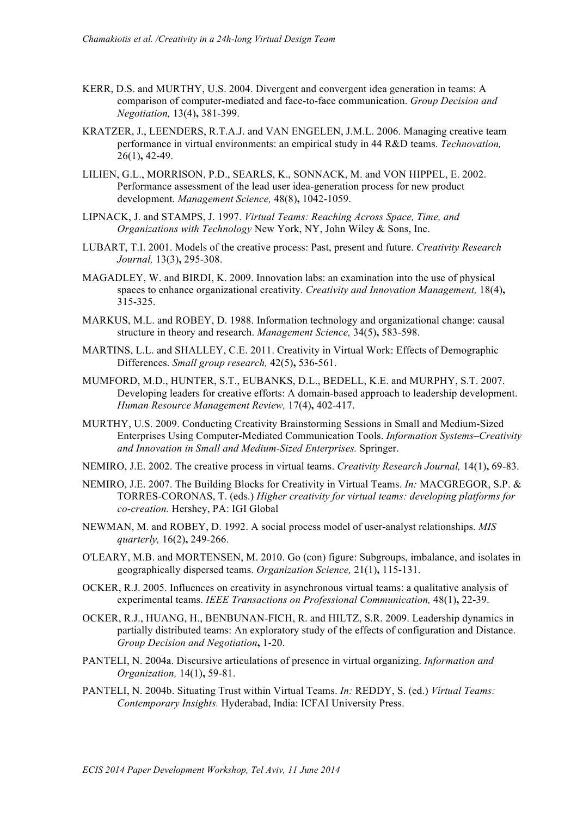- KERR, D.S. and MURTHY, U.S. 2004. Divergent and convergent idea generation in teams: A comparison of computer-mediated and face-to-face communication. *Group Decision and Negotiation,* 13(4)**,** 381-399.
- KRATZER, J., LEENDERS, R.T.A.J. and VAN ENGELEN, J.M.L. 2006. Managing creative team performance in virtual environments: an empirical study in 44 R&D teams. *Technovation,* 26(1)**,** 42-49.
- LILIEN, G.L., MORRISON, P.D., SEARLS, K., SONNACK, M. and VON HIPPEL, E. 2002. Performance assessment of the lead user idea-generation process for new product development. *Management Science,* 48(8)**,** 1042-1059.
- LIPNACK, J. and STAMPS, J. 1997. *Virtual Teams: Reaching Across Space, Time, and Organizations with Technology* New York, NY, John Wiley & Sons, Inc.
- LUBART, T.I. 2001. Models of the creative process: Past, present and future. *Creativity Research Journal,* 13(3)**,** 295-308.
- MAGADLEY, W. and BIRDI, K. 2009. Innovation labs: an examination into the use of physical spaces to enhance organizational creativity. *Creativity and Innovation Management,* 18(4)**,** 315-325.
- MARKUS, M.L. and ROBEY, D. 1988. Information technology and organizational change: causal structure in theory and research. *Management Science,* 34(5)**,** 583-598.
- MARTINS, L.L. and SHALLEY, C.E. 2011. Creativity in Virtual Work: Effects of Demographic Differences. *Small group research,* 42(5)**,** 536-561.
- MUMFORD, M.D., HUNTER, S.T., EUBANKS, D.L., BEDELL, K.E. and MURPHY, S.T. 2007. Developing leaders for creative efforts: A domain-based approach to leadership development. *Human Resource Management Review,* 17(4)**,** 402-417.
- MURTHY, U.S. 2009. Conducting Creativity Brainstorming Sessions in Small and Medium-Sized Enterprises Using Computer-Mediated Communication Tools. *Information Systems–Creativity and Innovation in Small and Medium-Sized Enterprises.* Springer.
- NEMIRO, J.E. 2002. The creative process in virtual teams. *Creativity Research Journal,* 14(1)**,** 69-83.
- NEMIRO, J.E. 2007. The Building Blocks for Creativity in Virtual Teams. *In:* MACGREGOR, S.P. & TORRES-CORONAS, T. (eds.) *Higher creativity for virtual teams: developing platforms for co-creation.* Hershey, PA: IGI Global
- NEWMAN, M. and ROBEY, D. 1992. A social process model of user-analyst relationships. *MIS quarterly,* 16(2)**,** 249-266.
- O'LEARY, M.B. and MORTENSEN, M. 2010. Go (con) figure: Subgroups, imbalance, and isolates in geographically dispersed teams. *Organization Science,* 21(1)**,** 115-131.
- OCKER, R.J. 2005. Influences on creativity in asynchronous virtual teams: a qualitative analysis of experimental teams. *IEEE Transactions on Professional Communication,* 48(1)**,** 22-39.
- OCKER, R.J., HUANG, H., BENBUNAN-FICH, R. and HILTZ, S.R. 2009. Leadership dynamics in partially distributed teams: An exploratory study of the effects of configuration and Distance. *Group Decision and Negotiation***,** 1-20.
- PANTELI, N. 2004a. Discursive articulations of presence in virtual organizing. *Information and Organization,* 14(1)**,** 59-81.
- PANTELI, N. 2004b. Situating Trust within Virtual Teams. *In:* REDDY, S. (ed.) *Virtual Teams: Contemporary Insights.* Hyderabad, India: ICFAI University Press.